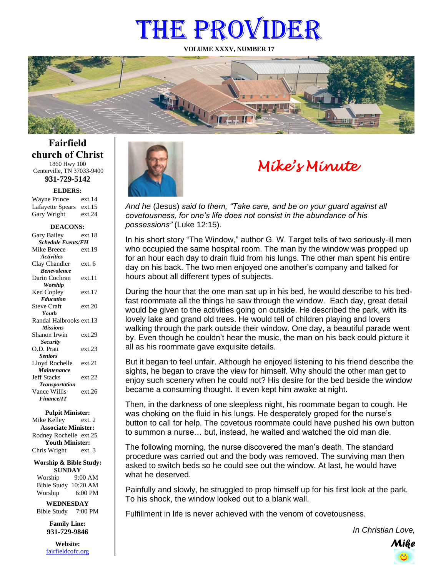# THE PROVIDER

**VOLUME XXXV, NUMBER 17**



**Fairfield church of Christ** 1860 Hwy 100 Centerville, TN 37033-9400

**931-729-5142**

**ELDERS:**

| <b>Wayne Prince</b> | ext.14 |
|---------------------|--------|
| Lafayette Spears    | ext.15 |
| Gary Wright         | ext.24 |

#### **DEACONS:**

| <b>Schedule Events/FH</b><br>Mike Breece<br>ext.19<br><b>Activities</b><br>Clay Chandler<br>ext. 6<br><b>Benevolence</b><br>Darin Cochran<br>ext.11<br><b>Worship</b><br>ext.17<br>Ken Copley<br><b>Education</b><br><b>Steve Craft</b><br>ext.20<br>Youth<br>Randal Halbrooks ext.13<br><b>Missions</b><br>Shanon Irwin<br>ext.29<br><b>Security</b><br>O.D. Pratt<br>ext.23<br><b>Seniors</b><br>Lloyd Rochelle<br>ext.21<br>Maintenance |
|--------------------------------------------------------------------------------------------------------------------------------------------------------------------------------------------------------------------------------------------------------------------------------------------------------------------------------------------------------------------------------------------------------------------------------------------|
|                                                                                                                                                                                                                                                                                                                                                                                                                                            |
|                                                                                                                                                                                                                                                                                                                                                                                                                                            |
|                                                                                                                                                                                                                                                                                                                                                                                                                                            |
|                                                                                                                                                                                                                                                                                                                                                                                                                                            |
|                                                                                                                                                                                                                                                                                                                                                                                                                                            |
|                                                                                                                                                                                                                                                                                                                                                                                                                                            |
|                                                                                                                                                                                                                                                                                                                                                                                                                                            |
|                                                                                                                                                                                                                                                                                                                                                                                                                                            |
|                                                                                                                                                                                                                                                                                                                                                                                                                                            |
|                                                                                                                                                                                                                                                                                                                                                                                                                                            |
|                                                                                                                                                                                                                                                                                                                                                                                                                                            |
|                                                                                                                                                                                                                                                                                                                                                                                                                                            |
|                                                                                                                                                                                                                                                                                                                                                                                                                                            |
|                                                                                                                                                                                                                                                                                                                                                                                                                                            |
|                                                                                                                                                                                                                                                                                                                                                                                                                                            |
|                                                                                                                                                                                                                                                                                                                                                                                                                                            |
|                                                                                                                                                                                                                                                                                                                                                                                                                                            |
|                                                                                                                                                                                                                                                                                                                                                                                                                                            |
|                                                                                                                                                                                                                                                                                                                                                                                                                                            |
| <b>Jeff Stacks</b><br>ext.22                                                                                                                                                                                                                                                                                                                                                                                                               |
| <b>Transportation</b>                                                                                                                                                                                                                                                                                                                                                                                                                      |
| Vance Willis<br>ext 26                                                                                                                                                                                                                                                                                                                                                                                                                     |
| <b>Finance/IT</b>                                                                                                                                                                                                                                                                                                                                                                                                                          |

#### **Pulpit Minister:**

Mike Kelley ext. 2 **Associate Minister:** Rodney Rochelle ext.25 **Youth Minister:** Chris Wright ext. 3

**Worship & Bible Study: SUNDAY** Worship 9:00 AM

Bible Study 10:20 AM Worship 6:00 PM

**WEDNESDAY** Bible Study 7:00 PM

> **Family Line: 931-729-9846**

**Website:** [fairfieldcofc.org](file:///C:/Users/RickJoyce/Documents/Fairfield%20Website%20Files/fairfieldchurchofchrist.org)



# *Mike's Minute*

*And he* (Jesus) *said to them, "Take care, and be on your guard against all covetousness, for one's life does not consist in the abundance of his possessions"* (Luke 12:15).

In his short story "The Window," author G. W. Target tells of two seriously-ill men who occupied the same hospital room. The man by the window was propped up for an hour each day to drain fluid from his lungs. The other man spent his entire day on his back. The two men enjoyed one another's company and talked for hours about all different types of subjects.

During the hour that the one man sat up in his bed, he would describe to his bedfast roommate all the things he saw through the window. Each day, great detail would be given to the activities going on outside. He described the park, with its lovely lake and grand old trees. He would tell of children playing and lovers walking through the park outside their window. One day, a beautiful parade went by. Even though he couldn't hear the music, the man on his back could picture it all as his roommate gave exquisite details.

But it began to feel unfair. Although he enjoyed listening to his friend describe the sights, he began to crave the view for himself. Why should the other man get to enjoy such scenery when he could not? His desire for the bed beside the window became a consuming thought. It even kept him awake at night.

Then, in the darkness of one sleepless night, his roommate began to cough. He was choking on the fluid in his lungs. He desperately groped for the nurse's button to call for help. The covetous roommate could have pushed his own button to summon a nurse… but, instead, he waited and watched the old man die.

The following morning, the nurse discovered the man's death. The standard procedure was carried out and the body was removed. The surviving man then asked to switch beds so he could see out the window. At last, he would have what he deserved.

Painfully and slowly, he struggled to prop himself up for his first look at the park. To his shock, the window looked out to a blank wall.

Fulfillment in life is never achieved with the venom of covetousness.

*In Christian Love,*

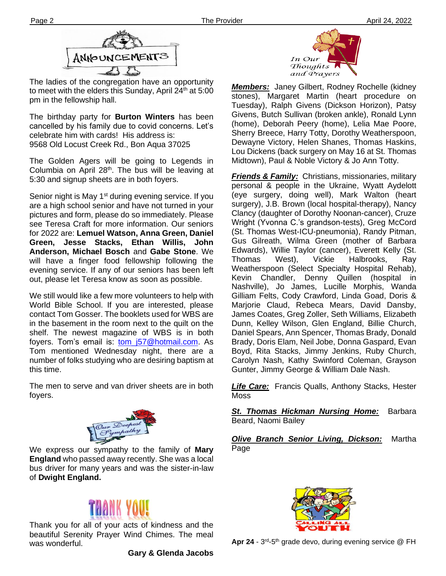

The ladies of the congregation have an opportunity to meet with the elders this Sunday, April  $24<sup>th</sup>$  at 5:00 pm in the fellowship hall.

**Ther** 9568 Old Locust Creek Rd., Bon Aqua 37025 The birthday party for **Burton Winters** has been cancelled by his family due to covid concerns. Let's celebrate him with cards! His address is:

The Golden Agers will be going to Legends in Columbia on April  $28<sup>th</sup>$ . The bus will be leaving at 5:30 and signup sheets are in both foyers.

Senior night is May 1<sup>st</sup> during evening service. If you are a high school senior and have not turned in your pictures and form, please do so immediately. Please see Teresa Craft for more information. Our seniors for 2022 are: **Lemuel Watson, Anna Green, Daniel Green, Jesse Stacks, Ethan Willis, John Anderson, Michael Bosch** and **Gabe Stone**. We will have a finger food fellowship following the evening service. If any of our seniors has been left out, please let Teresa know as soon as possible.

We still would like a few more volunteers to help with World Bible School. If you are interested, please contact Tom Gosser. The booklets used for WBS are in the basement in the room next to the quilt on the shelf. The newest magazine of WBS is in both foyers. Tom's email is: tom j57@hotmail.com. As Tom mentioned Wednesday night, there are a number of folks studying who are desiring baptism at this time.

The men to serve and van driver sheets are in both foyers.



We express our sympathy to the family of **Mary England** who passed away recently. She was a local bus driver for many years and was the sister-in-law of **Dwight England.**



Thank you for all of your acts of kindness and the beautiful Serenity Prayer Wind Chimes. The meal was wonderful.

**Gary & Glenda Jacobs**



*Members:* Janey Gilbert, Rodney Rochelle (kidney stones), Margaret Martin (heart procedure on Tuesday), Ralph Givens (Dickson Horizon), Patsy Givens, Butch Sullivan (broken ankle), Ronald Lynn (home), Deborah Peery (home), Lelia Mae Poore, Sherry Breece, Harry Totty, Dorothy Weatherspoon, Dewayne Victory, Helen Shanes, Thomas Haskins, Lou Dickens (back surgery on May 16 at St. Thomas Midtown), Paul & Noble Victory & Jo Ann Totty.

*Friends & Family:* Christians, missionaries, military personal & people in the Ukraine, Wyatt Aydelott (eye surgery, doing well), Mark Walton (heart surgery), J.B. Brown (local hospital-therapy), Nancy Clancy (daughter of Dorothy Noonan-cancer), Cruze Wright (Yvonna C.'s grandson-tests), Greg McCord (St. Thomas West-ICU-pneumonia), Randy Pitman, Gus Gilreath, Wilma Green (mother of Barbara Edwards), Willie Taylor (cancer), Everett Kelly (St. Thomas West), Vickie Halbrooks, Ray Weatherspoon (Select Specialty Hospital Rehab), Kevin Chandler, Denny Quillen (hospital in Nashville), Jo James, Lucille Morphis, Wanda Gilliam Felts, Cody Crawford, Linda Goad, Doris & Marjorie Claud, Rebeca Mears, David Dansby, James Coates, Greg Zoller, Seth Williams, Elizabeth Dunn, Kelley Wilson, Glen England, Billie Church, Daniel Spears, Ann Spencer, Thomas Brady, Donald Brady, Doris Elam, Neil Jobe, Donna Gaspard, Evan Boyd, Rita Stacks, Jimmy Jenkins, Ruby Church, Carolyn Nash, Kathy Swinford Coleman, Grayson Gunter, Jimmy George & William Dale Nash.

*Life Care:* Francis Qualls, Anthony Stacks, Hester Moss

*St. Thomas Hickman Nursing Home:* Barbara Beard, Naomi Bailey

*Olive Branch Senior Living, Dickson:* Martha Page



Apr 24 - 3<sup>rd</sup>-5<sup>th</sup> grade devo, during evening service @ FH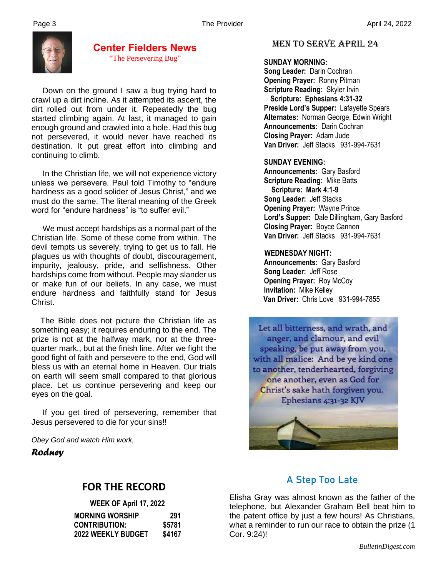

#### **Center Fielders News** "The Persevering Bug"

 Down on the ground I saw a bug trying hard to crawl up a dirt incline. As it attempted its ascent, the dirt rolled out from under it. Repeatedly the bug started climbing again. At last, it managed to gain enough ground and crawled into a hole. Had this bug not persevered, it would never have reached its destination. It put great effort into climbing and continuing to climb.

 In the Christian life, we will not experience victory unless we persevere. Paul told Timothy to "endure hardness as a good solider of Jesus Christ," and we must do the same. The literal meaning of the Greek word for "endure hardness" is "to suffer evil."

 We must accept hardships as a normal part of the Christian life. Some of these come from within. The devil tempts us severely, trying to get us to fall. He plagues us with thoughts of doubt, discouragement, impurity, jealousy, pride, and selfishness. Other hardships come from without. People may slander us or make fun of our beliefs. In any case, we must endure hardness and faithfully stand for Jesus Christ.

 The Bible does not picture the Christian life as something easy; it requires enduring to the end. The prize is not at the halfway mark, nor at the threequarter mark., but at the finish line. After we fight the good fight of faith and persevere to the end, God will bless us with an eternal home in Heaven. Our trials on earth will seem small compared to that glorious place. Let us continue persevering and keep our eyes on the goal.

 If you get tired of persevering, remember that Jesus persevered to die for your sins!!

*Obey God and watch Him work,*

*Rodney*

# **FOR THE RECORD**

| WEEK OF April 17, 2022    |        |  |
|---------------------------|--------|--|
| <b>MORNING WORSHIP</b>    | 291    |  |
| <b>CONTRIBUTION:</b>      | \$5781 |  |
| <b>2022 WEEKLY BUDGET</b> | \$4167 |  |

### MEN TO SERVE April 24

#### **SUNDAY MORNING:**

**Song Leader:** Darin Cochran  **Opening Prayer:** Ronny Pitman **Scripture Reading:** Skyler Irvin  **Scripture: Ephesians 4:31-32 Preside Lord's Supper:** Lafayette Spears  **Alternates:** Norman George, Edwin Wright  **Announcements:** Darin Cochran  **Closing Prayer:** Adam Jude **Van Driver:** Jeff Stacks 931-994-7631

#### **SUNDAY EVENING:**

**Announcements:** Gary Basford **Scripture Reading:** Mike Batts  **Scripture: Mark 4:1-9 Song Leader:** Jeff Stacks **Opening Prayer:** Wayne Prince **Lord's Supper:** Dale Dillingham, Gary Basford **Closing Prayer:** Boyce Cannon **Van Driver:** Jeff Stacks 931-994-7631

#### **WEDNESDAY NIGHT:**

**Announcements:** Gary Basford **Song Leader:** Jeff Rose **Opening Prayer: Roy McCoy Invitation:** Mike Kelley  **Van Driver:** Chris Love 931-994-7855

Let all bitterness, and wrath, and anger, and clamour, and evil speaking, be put away from you, with all malice: And be ye kind one to another, tenderhearted, forgiving one another, even as God for Christ's sake hath forgiven you. Ephesians 4:31-32 KJV



# **A Step Too Late**

Elisha Gray was almost known as the father of the telephone, but Alexander Graham Bell beat him to the patent office by just a few hours! As Christians, what a reminder to run our race to obtain the prize (1 Cor. 9:24)!